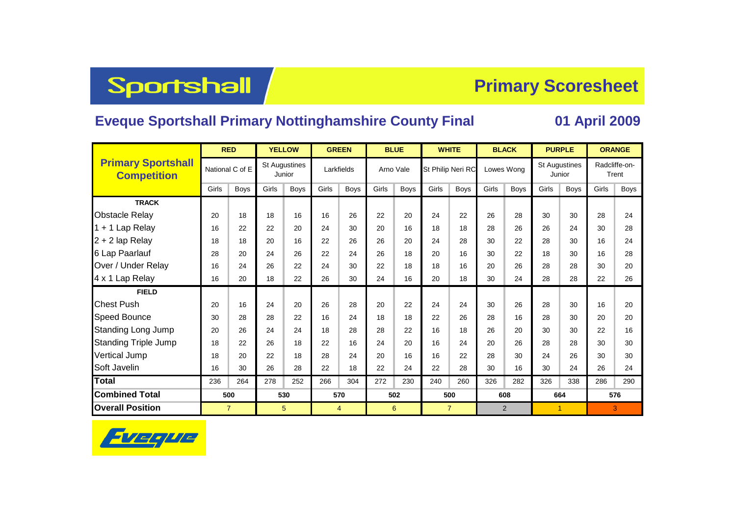## Sportshall

## **Primary Scoresheet**

## **Eveque Sportshall Primary Nottinghamshire County Final 01 April 2009**

|                                                 | <b>RED</b>      |             | <b>YELLOW</b>                  |             | <b>GREEN</b>   |             |       | <b>BLUE</b> |                   | <b>WHITE</b>   |            | <b>BLACK</b>   | <b>PURPLE</b>        |              | <b>ORANGE</b>          |      |  |
|-------------------------------------------------|-----------------|-------------|--------------------------------|-------------|----------------|-------------|-------|-------------|-------------------|----------------|------------|----------------|----------------------|--------------|------------------------|------|--|
| <b>Primary Sportshall</b><br><b>Competition</b> | National C of E |             | <b>St Augustines</b><br>Junior |             | Larkfields     |             |       | Arno Vale   | St Philip Neri RC |                | Lowes Wong |                | <b>St Augustines</b> | Junior       | Radcliffe-on-<br>Trent |      |  |
|                                                 | Girls           | <b>Boys</b> | Girls                          | <b>Boys</b> | Girls          | <b>Boys</b> | Girls | <b>Boys</b> | Girls             | <b>Boys</b>    | Girls      | <b>Boys</b>    | Girls                | <b>Boys</b>  | Girls                  | Boys |  |
| <b>TRACK</b>                                    |                 |             |                                |             |                |             |       |             |                   |                |            |                |                      |              |                        |      |  |
| <b>Obstacle Relay</b>                           | 20              | 18          | 18                             | 16          | 16             | 26          | 22    | 20          | 24                | 22             | 26         | 28             | 30                   | 30           | 28                     | 24   |  |
| 1 + 1 Lap Relay                                 | 16              | 22          | 22                             | 20          | 24             | 30          | 20    | 16          | 18                | 18             | 28         | 26             | 26                   | 24           | 30                     | 28   |  |
| $2 + 2$ lap Relay                               | 18              | 18          | 20                             | 16          | 22             | 26          | 26    | 20          | 24                | 28             | 30         | 22             | 28                   | 30           | 16                     | 24   |  |
| 6 Lap Paarlauf                                  | 28              | 20          | 24                             | 26          | 22             | 24          | 26    | 18          | 20                | 16             | 30         | 22             | 18                   | 30           | 16                     | 28   |  |
| Over / Under Relay                              | 16              | 24          | 26                             | 22          | 24             | 30          | 22    | 18          | 18                | 16             | 20         | 26             | 28                   | 28           | 30                     | 20   |  |
| 4 x 1 Lap Relay                                 | 16              | 20          | 18                             | 22          | 26             | 30          | 24    | 16          | 20                | 18             | 30         | 24             | 28                   | 28           | 22                     | 26   |  |
| <b>FIELD</b>                                    |                 |             |                                |             |                |             |       |             |                   |                |            |                |                      |              |                        |      |  |
| <b>Chest Push</b>                               | 20              | 16          | 24                             | 20          | 26             | 28          | 20    | 22          | 24                | 24             | 30         | 26             | 28                   | 30           | 16                     | 20   |  |
| Speed Bounce                                    | 30              | 28          | 28                             | 22          | 16             | 24          | 18    | 18          | 22                | 26             | 28         | 16             | 28                   | 30           | 20                     | 20   |  |
| Standing Long Jump                              | 20              | 26          | 24                             | 24          | 18             | 28          | 28    | 22          | 16                | 18             | 26         | 20             | 30                   | 30           | 22                     | 16   |  |
| <b>Standing Triple Jump</b>                     | 18              | 22          | 26                             | 18          | 22             | 16          | 24    | 20          | 16                | 24             | 20         | 26             | 28                   | 28           | 30                     | 30   |  |
| <b>Vertical Jump</b>                            | 18              | 20          | 22                             | 18          | 28             | 24          | 20    | 16          | 16                | 22             | 28         | 30             | 24                   | 26           | 30                     | 30   |  |
| Soft Javelin                                    | 16              | 30          | 26                             | 28          | 22             | 18          | 22    | 24          | 22                | 28             | 30         | 16             | 30                   | 24           | 26                     | 24   |  |
| Total                                           | 236             | 264         | 278                            | 252         | 266            | 304         | 272   | 230         | 240               | 260            | 326        | 282            | 326                  | 338          | 286                    | 290  |  |
| <b>Combined Total</b>                           | 500             |             | 530                            |             | 570            |             |       | 502         | 500               |                |            | 608            | 664                  |              | 576                    |      |  |
| <b>Overall Position</b>                         | $\overline{7}$  |             | 5                              |             | $\overline{4}$ |             |       | 6           |                   | $\overline{7}$ |            | $\overline{2}$ |                      | $\mathbf{1}$ | 3                      |      |  |

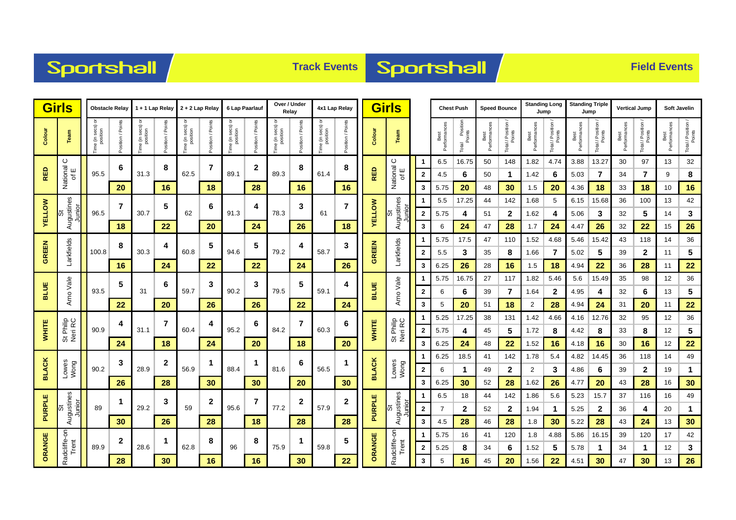



|               | <b>Girls</b><br><b>Obstacle Relay</b>   |                                  | 1 + 1 Lap Relay 2 + 2 Lap Relay |                     |                   |                                    |                    | 6 Lap Paarlauf     |                      | Over / Under<br>Relay   |                       | 4x1 Lap Relay                |                   | <b>Girls</b>  |                        |              | <b>Chest Push</b>    |                               | <b>Speed Bounce</b>  |                            | <b>Standing Long</b><br>Jump |                            | <b>Standing Triple</b><br>Jump |                            | <b>Vertical Jump</b> |                              | <b>Soft Javelin</b>  |                              |
|---------------|-----------------------------------------|----------------------------------|---------------------------------|---------------------|-------------------|------------------------------------|--------------------|--------------------|----------------------|-------------------------|-----------------------|------------------------------|-------------------|---------------|------------------------|--------------|----------------------|-------------------------------|----------------------|----------------------------|------------------------------|----------------------------|--------------------------------|----------------------------|----------------------|------------------------------|----------------------|------------------------------|
| Colour        | Team                                    | ੋ<br>ime (in secs) c<br>position | Points<br>l/ noition            | ᅙ<br>Time (in secs) | Position / Points | e (in secs)<br>position<br>ime (in | Points<br>sition / | ᅙ<br>e (in secs) o | Points<br>Position / | e (in secs)<br>position | Poin<br>$\frac{1}{6}$ | Time (in secs) c<br>position | Position / Points | Colour        | Team                   |              | Best<br>Performances | I Position<br>Points<br>Total | Best<br>Performances | Total / Position<br>Points | Best<br>Performances         | Total / Position<br>Points | Performance<br>Best            | Total / Position<br>Points | Best<br>Performances | Total / Position /<br>Points | Best<br>Performances | Total / Position /<br>Points |
|               | $\circ$                                 |                                  | 6                               |                     | 8                 |                                    | 7                  |                    | $\mathbf 2$          |                         | 8                     |                              | 8                 |               | ပ                      | -1           | 6.5                  | 16.75                         | 50                   | 148                        | 1.82                         | 4.74                       | 3.88                           | 13.27                      | 30                   | 97                           | 13                   | 32                           |
| <b>RED</b>    | National<br>of E<br>$\overline{\sigma}$ | 95.5                             |                                 | 31.3                |                   | 62.5                               |                    | 89.1               |                      | 89.3                    |                       | 61.4                         |                   | <b>RED</b>    | National<br>of E       | $\mathbf{2}$ | 4.5                  | 6                             | 50                   | 1                          | 1.42                         | 6                          | 5.03                           | 7                          | 34                   | 7                            | 9                    | 8                            |
|               |                                         |                                  | 20                              |                     | 16                |                                    | 18                 |                    | 28                   |                         | 16                    |                              | 16                |               |                        | 3            | 5.75                 | 20                            | 48                   | 30                         | 1.5                          | 20                         | 4.36                           | 18                         | 33                   | 18                           | 10                   | 16                           |
|               | Augustines<br>Junior                    |                                  | 7                               |                     | 5                 |                                    | 6                  |                    | 4                    | 78.3                    | 3<br>26               | 61                           | 7                 |               | Augustines             | 1            | 5.5                  | 17.25                         | 44                   | 142                        | 1.68                         | 5                          | 6.15                           | 15.68                      | 36                   | 100                          | 13                   | 42                           |
| <b>AELLOW</b> | ö                                       | 96.5                             |                                 | 30.7                |                   | 62                                 |                    | 91.3               |                      |                         |                       |                              |                   | <b>VELLOW</b> | <u>ioi</u> u           | $\mathbf{2}$ | 5.75                 | 4                             | 51                   | 2                          | 1.62                         | 4                          | 5.06                           | 3                          | 32                   | 5                            | 14                   | 3                            |
|               |                                         |                                  | 18                              |                     | 22                |                                    | 20                 |                    | 24                   |                         |                       |                              | 18                |               |                        | 3            | 6                    | 24                            | 47                   | 28                         | 1.7                          | 24                         | 4.47                           | 26                         | 32                   | 22                           | 15                   | 26                           |
| <b>GREEN</b>  | Larkfields                              |                                  | 8                               |                     | 4                 |                                    | 5                  |                    | 5                    |                         | 4<br>79.2             | 58.7                         | 3                 |               |                        | -1           | 5.75                 | 17.5                          | 47                   | 110                        | 1.52                         | 4.68                       | 5.46                           | 15.42                      | 43                   | 118                          | 14                   | 36                           |
|               |                                         | 100.8                            |                                 | 30.3                |                   | 60.8                               |                    | 94.6               |                      |                         |                       |                              | 26                | GREEN         | Larkfields             | $\mathbf{2}$ | 5.5                  | 3                             | 35                   | 8                          | 1.66                         | 7                          | 5.02                           | 5                          | 39                   | $\mathbf{2}$                 | 11                   | 5                            |
|               |                                         |                                  | 16                              |                     | 24                |                                    | 22                 |                    | 22                   |                         | 24                    |                              |                   |               |                        | 3            | 6.25                 | 26                            | 28                   | 16                         | 1.5                          | 18                         | 4.94                           | 22                         | 36                   | 28                           | 11                   | 22                           |
| <b>BLUE</b>   |                                         |                                  | 5                               |                     | 6                 |                                    | 3                  |                    | 3                    |                         | 5                     |                              | 4                 |               |                        | -1           | 5.75                 | 16.75                         | 27                   | 117                        | 1.82                         | 5.46                       | 5.6                            | 15.49                      | 35                   | 98                           | 12                   | 36                           |
|               | Arno Vale                               | 93.5                             |                                 | 31                  |                   | 59.7                               |                    | 90.2               |                      | 79.5                    |                       | 59.1                         |                   | <b>BLUE</b>   | Arno Vale              | $\mathbf{2}$ | 6                    | 6                             | 39                   | 7                          | 1.64                         | $\mathbf{2}$               | 4.95                           | 4                          | 32                   | 6                            | 13                   | 5                            |
|               |                                         |                                  | 22                              |                     | 20                |                                    | 26                 |                    | 26                   |                         | 22                    |                              | 24                |               |                        | 3            | 5                    | 20                            | 51                   | 18                         | 2                            | 28                         | 4.94                           | 24                         | 31                   | 20                           | 11                   | 22                           |
|               |                                         |                                  | 4                               |                     | 7                 |                                    | 4                  |                    | 6                    |                         | 7                     |                              | 6                 |               | St Philip<br>Neri RC   | -1           | 5.25                 | 17.25                         | 38                   | 131                        | 1.42                         | 4.66                       | 4.16                           | 12.76                      | 32                   | 95                           | 12                   | 36                           |
| <b>WHITE</b>  | St Philip<br>Neri RC                    | 90.9                             |                                 | 31.1                |                   | 60.4                               |                    | 95.2               |                      | 84.2                    |                       | 60.3                         |                   | <b>WHITE</b>  |                        | $\mathbf{2}$ | 5.75                 | 4                             | 45                   | 5                          | 1.72                         | 8                          | 4.42                           | 8                          | 33                   | 8                            | 12                   | 5                            |
|               |                                         |                                  | 24                              |                     | 18                |                                    | 24                 |                    | 20                   |                         | 18                    |                              | 20                |               |                        | 3            | 6.25                 | 24                            | 48                   | 22                         | 1.52                         | 16                         | 4.18                           | 16                         | 30                   | 16                           | 12                   | 22                           |
|               |                                         |                                  | 3                               | 28.9                | $\boldsymbol{2}$  |                                    | 1                  |                    | 1                    |                         | 6                     | 56.5                         |                   |               | Lowes<br>Wong          | -1           | 6.25                 | 18.5                          | 41                   | 142                        | 1.78                         | 5.4                        | 4.82                           | 14.45                      | 36                   | 118                          | 14                   | 49                           |
| <b>BLACK</b>  | Lowes<br>Wong                           | 90.2                             |                                 |                     |                   | 56.9                               |                    | 88.4               |                      | 81.6                    |                       |                              |                   | <b>BLACK</b>  |                        | $\mathbf{2}$ | 6                    | $\mathbf 1$                   | 49                   | 2                          | $\overline{2}$               | 3                          | 4.86                           | 6                          | 39                   | 2                            | 19                   | $\mathbf{1}$                 |
|               |                                         |                                  | 26                              |                     | 28                |                                    | 30                 |                    | 30                   |                         | 20                    |                              | 30                |               |                        | 3            | 6.25                 | 30                            | 52                   | 28                         | 1.62                         | 26                         | 4.77                           | 20                         | 43                   | 28                           | 16                   | 30                           |
|               | St<br>Augustines                        |                                  | $\mathbf 1$                     |                     | 3                 |                                    | $\mathbf{2}$       |                    | 7                    |                         | $\mathbf{2}$          |                              | 2                 |               | Augustines             | 1            | 6.5                  | 18                            | 44                   | 142                        | 1.86                         | 5.6                        | 5.23                           | 15.7                       | 37                   | 116                          | 16                   | 49                           |
| PURPLE        | Junior                                  | 89                               |                                 | 29.2                |                   | 59                                 |                    | 95.6               |                      | 77.2                    |                       | 57.9                         |                   | PURPLE        | Junior<br>ľй           | $\mathbf{2}$ | 7                    | $\mathbf{2}$                  | 52                   | $\mathbf{2}$               | 1.94                         | -1                         | 5.25                           | $\mathbf{2}$               | 36                   | 4                            | 20                   | $\mathbf{1}$                 |
|               |                                         |                                  | 30                              |                     | 26                |                                    | 28                 |                    | 18                   |                         | 28                    |                              | 28                |               |                        | 3            | 4.5                  | 28                            | 46                   | 28                         | 1.8                          | 30                         | 5.22                           | 28                         | 43                   | 24                           | 13                   | 30                           |
|               | Radcliffe-on                            |                                  | $\mathbf{2}$                    |                     | 1                 |                                    | 8                  |                    | 8                    |                         | 1                     |                              | 5                 | ORANGE        | Radcliffe-on-<br>Trent | -1           | 5.75                 | 16                            | 41                   | 120                        | 1.8                          | 4.88                       | 5.86                           | 16.15                      | 39                   | 120                          | 17                   | 42                           |
| ORANGE        | Trent                                   | 89.9                             |                                 | 28.6                |                   | 62.8                               |                    | 96                 |                      | 75.9                    |                       | 59.8                         |                   |               |                        | $\mathbf{2}$ | 5.25                 | 8                             | 34                   | 6                          | 1.52                         | 5                          | 5.78                           | -1                         | 34                   | $\mathbf 1$                  | 12                   | 3                            |
|               |                                         |                                  | 28                              |                     | 30                |                                    | 16                 |                    | 16                   |                         | 30                    |                              | 22                |               |                        | 3            | 5                    | 16                            | 45                   | 20                         | 1.56                         | 22                         | 4.51                           | 30                         | 47                   | 30                           | 13                   | 26                           |